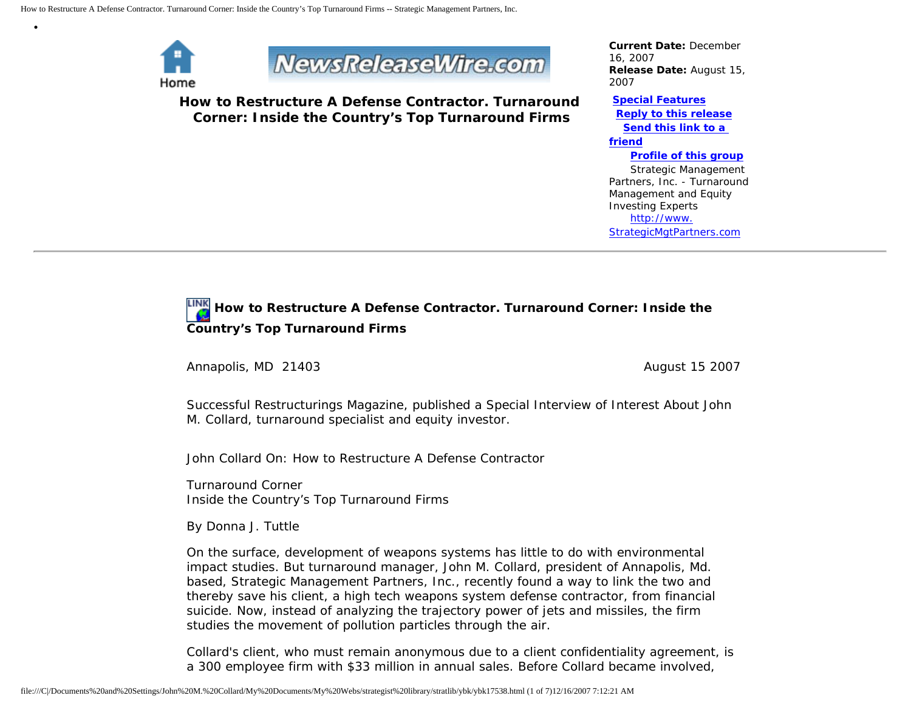

•



**How to Restructure A Defense Contractor. Turnaround Corner: Inside the Country's Top Turnaround Firms**

*Current Date:* December 16, 2007 *Release Date:* August 15, 2007

**[Special Features](javascript:openlittleme() [Reply to this release](file:///C|/Documents%20and%20Settings/John%20M.%20Collard/My%20Documents/My%20Webs/strategist%20library/stratlib/ybk/default.cfm?Action=ReplyRelease&Id=17538) [Send this link to a](file:///C|/Documents%20and%20Settings/John%20M.%20Collard/My%20Documents/My%20Webs/strategist%20library/stratlib/ybk/default.cfm?Action=SendLink&SendId=17538)  [friend](file:///C|/Documents%20and%20Settings/John%20M.%20Collard/My%20Documents/My%20Webs/strategist%20library/stratlib/ybk/default.cfm?Action=SendLink&SendId=17538) [Profile of this group](file:///C|/Documents%20and%20Settings/John%20M.%20Collard/My%20Documents/My%20Webs/strategist%20library/stratlib/ybk/default.cfm?Action=Profile&ProfileId=623)** Strategic Management Partners, Inc. - Turnaround Management and Equity Investing Experts

 [http://www.](http://www.strategicmgtpartners.com/) [StrategicMgtPartners.com](http://www.strategicmgtpartners.com/)

## **How to Restructure A Defense Contractor. Turnaround Corner: Inside the Country's Top Turnaround Firms**

Annapolis, MD 21403 **August 15 2007** August 15 2007

Successful Restructurings Magazine, published a Special Interview of Interest About John M. Collard, turnaround specialist and equity investor.

John Collard On: How to Restructure A Defense Contractor

Turnaround Corner Inside the Country's Top Turnaround Firms

By Donna J. Tuttle

On the surface, development of weapons systems has little to do with environmental impact studies. But turnaround manager, John M. Collard, president of Annapolis, Md. based, Strategic Management Partners, Inc., recently found a way to link the two and thereby save his client, a high tech weapons system defense contractor, from financial suicide. Now, instead of analyzing the trajectory power of jets and missiles, the firm studies the movement of pollution particles through the air.

Collard's client, who must remain anonymous due to a client confidentiality agreement, is a 300 employee firm with \$33 million in annual sales. Before Collard became involved,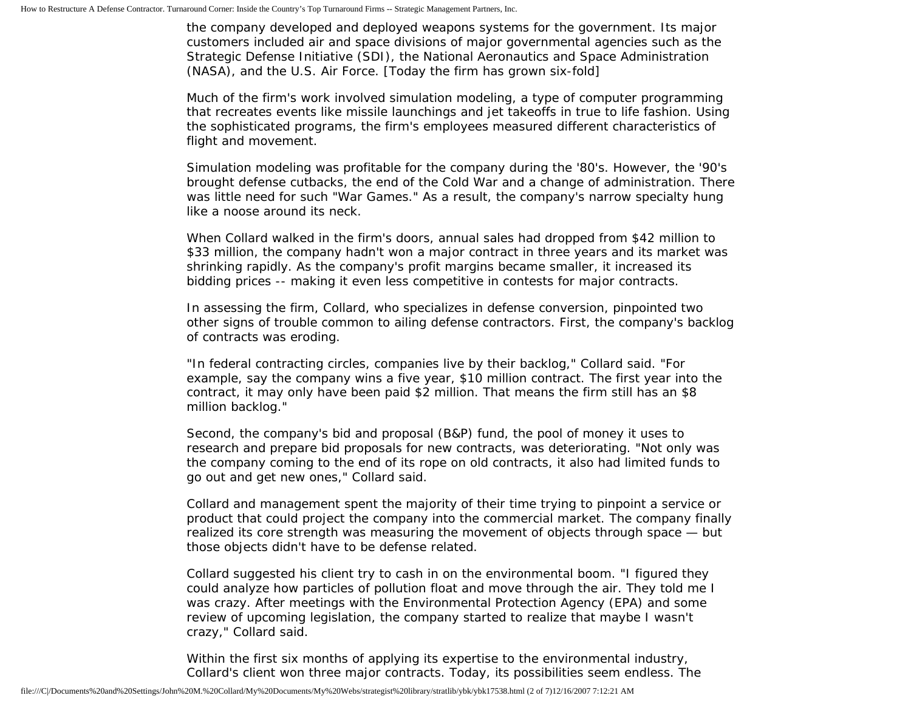the company developed and deployed weapons systems for the government. Its major customers included air and space divisions of major governmental agencies such as the Strategic Defense Initiative (SDI), the National Aeronautics and Space Administration (NASA), and the U.S. Air Force. [Today the firm has grown six-fold]

Much of the firm's work involved simulation modeling, a type of computer programming that recreates events like missile launchings and jet takeoffs in true to life fashion. Using the sophisticated programs, the firm's employees measured different characteristics of flight and movement.

Simulation modeling was profitable for the company during the '80's. However, the '90's brought defense cutbacks, the end of the Cold War and a change of administration. There was little need for such "War Games." As a result, the company's narrow specialty hung like a noose around its neck.

When Collard walked in the firm's doors, annual sales had dropped from \$42 million to \$33 million, the company hadn't won a major contract in three years and its market was shrinking rapidly. As the company's profit margins became smaller, it increased its bidding prices -- making it even less competitive in contests for major contracts.

In assessing the firm, Collard, who specializes in defense conversion, pinpointed two other signs of trouble common to ailing defense contractors. First, the company's backlog of contracts was eroding.

"In federal contracting circles, companies live by their backlog," Collard said. "For example, say the company wins a five year, \$10 million contract. The first year into the contract, it may only have been paid \$2 million. That means the firm still has an \$8 million backlog."

Second, the company's bid and proposal (B&P) fund, the pool of money it uses to research and prepare bid proposals for new contracts, was deteriorating. "Not only was the company coming to the end of its rope on old contracts, it also had limited funds to go out and get new ones," Collard said.

Collard and management spent the majority of their time trying to pinpoint a service or product that could project the company into the commercial market. The company finally realized its core strength was measuring the movement of objects through space — but those objects didn't have to be defense related.

Collard suggested his client try to cash in on the environmental boom. "I figured they could analyze how particles of pollution float and move through the air. They told me I was crazy. After meetings with the Environmental Protection Agency (EPA) and some review of upcoming legislation, the company started to realize that maybe I wasn't crazy," Collard said.

Within the first six months of applying its expertise to the environmental industry, Collard's client won three major contracts. Today, its possibilities seem endless. The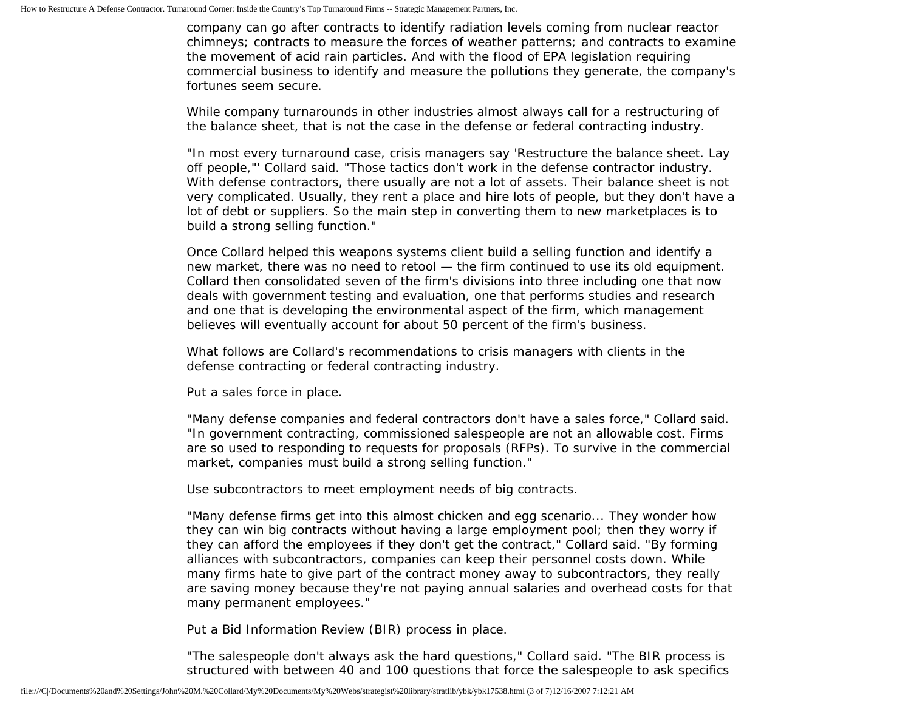company can go after contracts to identify radiation levels coming from nuclear reactor chimneys; contracts to measure the forces of weather patterns; and contracts to examine the movement of acid rain particles. And with the flood of EPA legislation requiring commercial business to identify and measure the pollutions they generate, the company's fortunes seem secure.

While company turnarounds in other industries almost always call for a restructuring of the balance sheet, that is not the case in the defense or federal contracting industry.

"In most every turnaround case, crisis managers say 'Restructure the balance sheet. Lay off people,"' Collard said. "Those tactics don't work in the defense contractor industry. With defense contractors, there usually are not a lot of assets. Their balance sheet is not very complicated. Usually, they rent a place and hire lots of people, but they don't have a lot of debt or suppliers. So the main step in converting them to new marketplaces is to build a strong selling function."

Once Collard helped this weapons systems client build a selling function and identify a new market, there was no need to retool — the firm continued to use its old equipment. Collard then consolidated seven of the firm's divisions into three including one that now deals with government testing and evaluation, one that performs studies and research and one that is developing the environmental aspect of the firm, which management believes will eventually account for about 50 percent of the firm's business.

What follows are Collard's recommendations to crisis managers with clients in the defense contracting or federal contracting industry.

Put a sales force in place.

"Many defense companies and federal contractors don't have a sales force," Collard said. "In government contracting, commissioned salespeople are not an allowable cost. Firms are so used to responding to requests for proposals (RFPs). To survive in the commercial market, companies must build a strong selling function."

Use subcontractors to meet employment needs of big contracts.

"Many defense firms get into this almost chicken and egg scenario... They wonder how they can win big contracts without having a large employment pool; then they worry if they can afford the employees if they don't get the contract," Collard said. "By forming alliances with subcontractors, companies can keep their personnel costs down. While many firms hate to give part of the contract money away to subcontractors, they really are saving money because they're not paying annual salaries and overhead costs for that many permanent employees."

Put a Bid Information Review (BIR) process in place.

"The salespeople don't always ask the hard questions," Collard said. "The BIR process is structured with between 40 and 100 questions that force the salespeople to ask specifics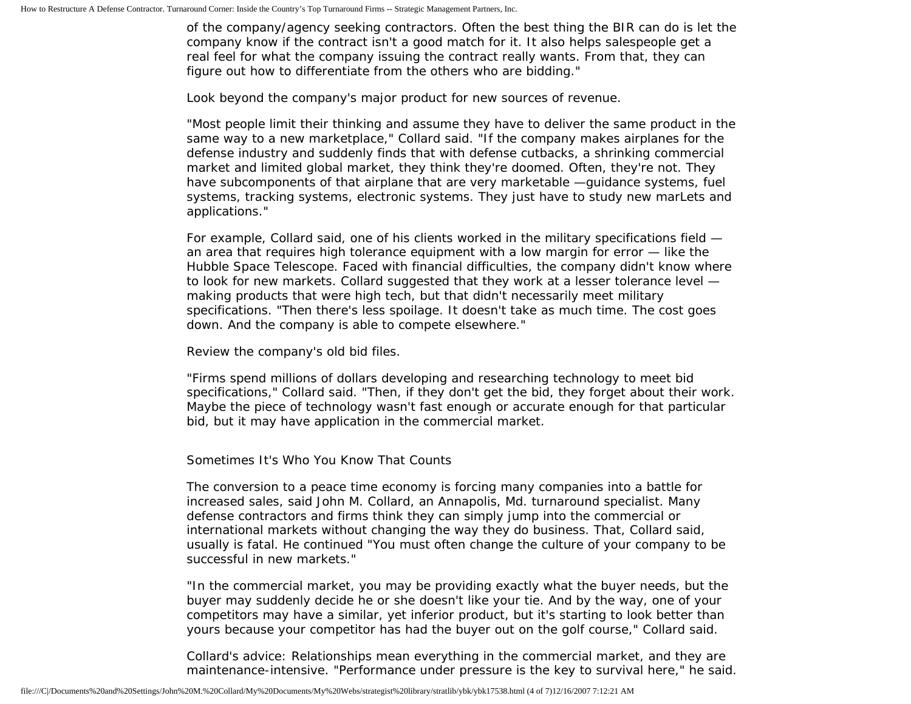of the company/agency seeking contractors. Often the best thing the BIR can do is let the company know if the contract isn't a good match for it. It also helps salespeople get a real feel for what the company issuing the contract really wants. From that, they can figure out how to differentiate from the others who are bidding."

Look beyond the company's major product for new sources of revenue.

"Most people limit their thinking and assume they have to deliver the same product in the same way to a new marketplace," Collard said. "If the company makes airplanes for the defense industry and suddenly finds that with defense cutbacks, a shrinking commercial market and limited global market, they think they're doomed. Often, they're not. They have subcomponents of that airplane that are very marketable —guidance systems, fuel systems, tracking systems, electronic systems. They just have to study new marLets and applications."

For example, Collard said, one of his clients worked in the military specifications field an area that requires high tolerance equipment with a low margin for error — like the Hubble Space Telescope. Faced with financial difficulties, the company didn't know where to look for new markets. Collard suggested that they work at a lesser tolerance level making products that were high tech, but that didn't necessarily meet military specifications. "Then there's less spoilage. It doesn't take as much time. The cost goes down. And the company is able to compete elsewhere."

Review the company's old bid files.

"Firms spend millions of dollars developing and researching technology to meet bid specifications," Collard said. "Then, if they don't get the bid, they forget about their work. Maybe the piece of technology wasn't fast enough or accurate enough for that particular bid, but it may have application in the commercial market.

Sometimes It's Who You Know That Counts

The conversion to a peace time economy is forcing many companies into a battle for increased sales, said John M. Collard, an Annapolis, Md. turnaround specialist. Many defense contractors and firms think they can simply jump into the commercial or international markets without changing the way they do business. That, Collard said, usually is fatal. He continued "You must often change the culture of your company to be successful in new markets."

"In the commercial market, you may be providing exactly what the buyer needs, but the buyer may suddenly decide he or she doesn't like your tie. And by the way, one of your competitors may have a similar, yet inferior product, but it's starting to look better than yours because your competitor has had the buyer out on the golf course," Collard said.

Collard's advice: Relationships mean everything in the commercial market, and they are maintenance-intensive. "Performance under pressure is the key to survival here," he said.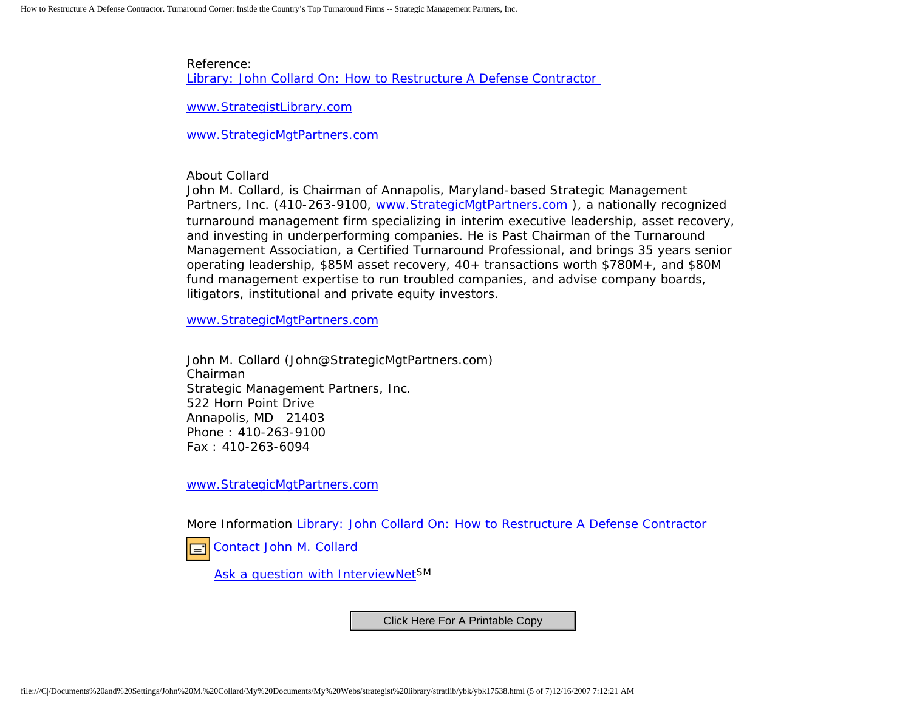Reference: [Library: John Collard On: How to Restructure A Defense Contractor](http://members.aol.com/jmcollard/ssr.html) 

[www.StrategistLibrary.com](http://www.strategistlibrary.com/)

[www.StrategicMgtPartners.com](http://www.strategicmgtpartners.com/)

About Collard

John M. Collard, is Chairman of Annapolis, Maryland-based Strategic Management Partners, Inc. (410-263-9100, [www.StrategicMgtPartners.com](http://www.strategicmgtpartners.com/) ), a nationally recognized turnaround management firm specializing in interim executive leadership, asset recovery, and investing in underperforming companies. He is Past Chairman of the Turnaround Management Association, a Certified Turnaround Professional, and brings 35 years senior operating leadership, \$85M asset recovery, 40+ transactions worth \$780M+, and \$80M fund management expertise to run troubled companies, and advise company boards, litigators, institutional and private equity investors.

[www.StrategicMgtPartners.com](http://www.strategicmgtpartners.com/)

John M. Collard (John@StrategicMgtPartners.com) Chairman Strategic Management Partners, Inc. 522 Horn Point Drive Annapolis, MD 21403 Phone : 410-263-9100 Fax : 410-263-6094

[www.StrategicMgtPartners.com](http://www.strategicmgtpartners.com/)

More Information [Library: John Collard On: How to Restructure A Defense Contractor](http://members.aol.com/jmcollard/ssr.html)

[Contact John M. Collard](http://www.expertclick.com/expertClick/contact/default.cfm?Action=ContactExpert&GroupID=1016) l='l

[Ask a question with InterviewNetS](http://www.expertclick.com/expertClick/contact/default.cfm?GroupID=1016)M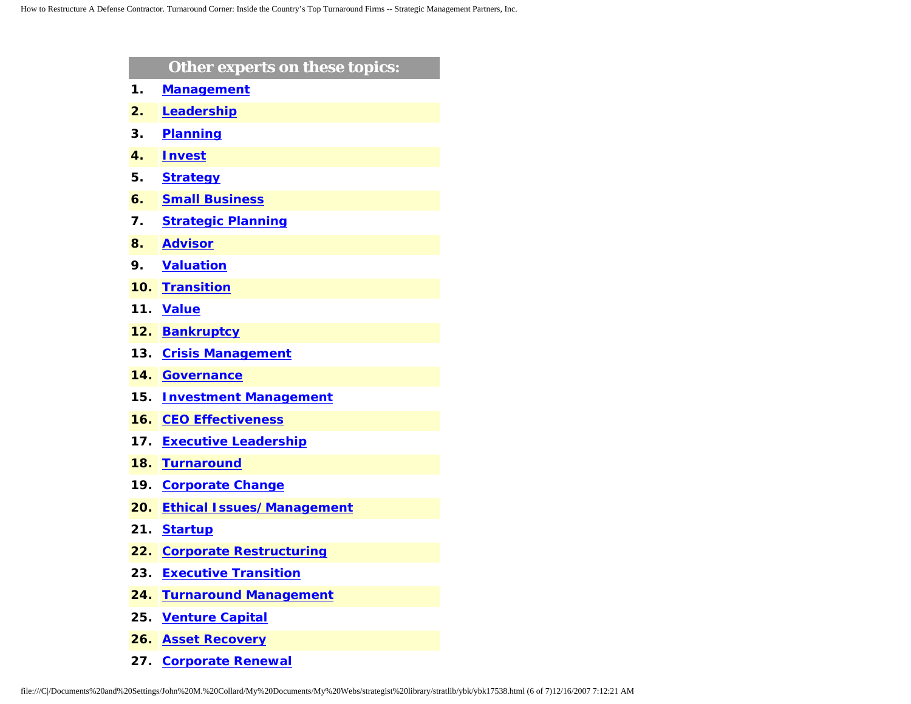|     | Other experts on these topics:   |
|-----|----------------------------------|
| 1.  | <b>Management</b>                |
| 2.  | Leadership                       |
| 3.  | <b>Planning</b>                  |
| 4.  | <b>Invest</b>                    |
| 5.  | <b>Strategy</b>                  |
| 6.  | <b>Small Business</b>            |
| 7.  | <b>Strategic Planning</b>        |
| 8.  | <b>Advisor</b>                   |
| 9.  | <b>Valuation</b>                 |
| 10. | <b>Transition</b>                |
| 11. | <b>Value</b>                     |
| 12. | <b>Bankruptcy</b>                |
| 13. | <b>Crisis Management</b>         |
| 14. | <b>Governance</b>                |
| 15. | <b>Investment Management</b>     |
| 16. | <b>CEO Effectiveness</b>         |
| 17. | <b>Executive Leadership</b>      |
| 18. | <b>Turnaround</b>                |
| 19. | <b>Corporate Change</b>          |
| 20. | <b>Ethical Issues/Management</b> |
| 21. | <b>Startup</b>                   |
| 22. | <b>Corporate Restructuring</b>   |
| 23. | <b>Executive Transition</b>      |
| 24. | <b>Turnaround Management</b>     |
| 25. | <b>Venture Capital</b>           |
| 26. | <b>Asset Recovery</b>            |

**27. [Corporate Renewal](http://www.expertclick.com/search/default.cfm?SearchCriteria=Corporate Renewal)**